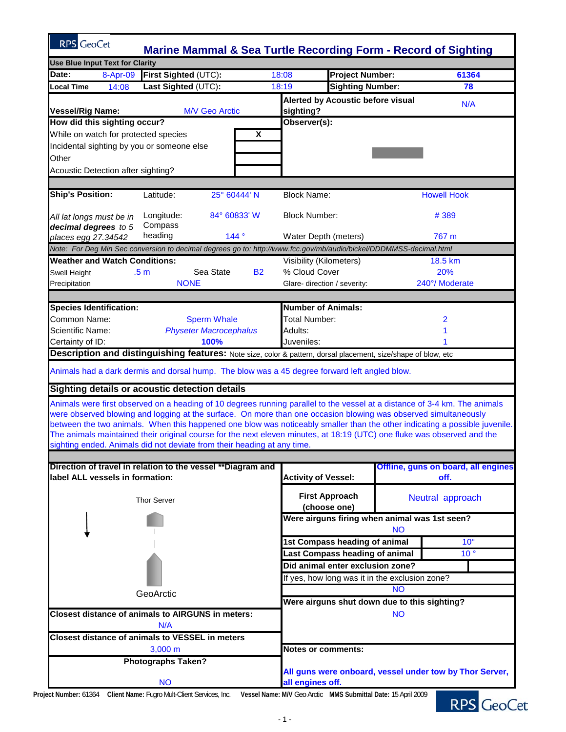| <b>RPS</b> GeoCet<br><b>Marine Mammal &amp; Sea Turtle Recording Form - Record of Sighting</b>                                                                                                                                                                                                                                                                                                                                                                                                                                                                                                                                                                                                                                       |                                                                             |                                                |  |
|--------------------------------------------------------------------------------------------------------------------------------------------------------------------------------------------------------------------------------------------------------------------------------------------------------------------------------------------------------------------------------------------------------------------------------------------------------------------------------------------------------------------------------------------------------------------------------------------------------------------------------------------------------------------------------------------------------------------------------------|-----------------------------------------------------------------------------|------------------------------------------------|--|
| <b>Use Blue Input Text for Clarity</b>                                                                                                                                                                                                                                                                                                                                                                                                                                                                                                                                                                                                                                                                                               |                                                                             |                                                |  |
| First Sighted (UTC):<br>8-Apr-09<br>Date:                                                                                                                                                                                                                                                                                                                                                                                                                                                                                                                                                                                                                                                                                            | 18:08<br><b>Project Number:</b>                                             | 61364                                          |  |
| Last Sighted (UTC):<br><b>Local Time</b><br>14:08                                                                                                                                                                                                                                                                                                                                                                                                                                                                                                                                                                                                                                                                                    | <b>Sighting Number:</b><br>18:19                                            | 78                                             |  |
| <b>Vessel/Rig Name:</b><br><b>M/V Geo Arctic</b>                                                                                                                                                                                                                                                                                                                                                                                                                                                                                                                                                                                                                                                                                     | Alerted by Acoustic before visual<br>sighting?                              | N/A                                            |  |
| How did this sighting occur?                                                                                                                                                                                                                                                                                                                                                                                                                                                                                                                                                                                                                                                                                                         | Observer(s):                                                                |                                                |  |
| While on watch for protected species<br>X                                                                                                                                                                                                                                                                                                                                                                                                                                                                                                                                                                                                                                                                                            |                                                                             |                                                |  |
| Incidental sighting by you or someone else                                                                                                                                                                                                                                                                                                                                                                                                                                                                                                                                                                                                                                                                                           |                                                                             |                                                |  |
| Other                                                                                                                                                                                                                                                                                                                                                                                                                                                                                                                                                                                                                                                                                                                                |                                                                             |                                                |  |
| Acoustic Detection after sighting?                                                                                                                                                                                                                                                                                                                                                                                                                                                                                                                                                                                                                                                                                                   |                                                                             |                                                |  |
|                                                                                                                                                                                                                                                                                                                                                                                                                                                                                                                                                                                                                                                                                                                                      |                                                                             |                                                |  |
| <b>Ship's Position:</b><br>25° 60444' N<br>Latitude:                                                                                                                                                                                                                                                                                                                                                                                                                                                                                                                                                                                                                                                                                 | <b>Block Name:</b>                                                          | <b>Howell Hook</b>                             |  |
| Longitude:<br>84° 60833' W<br>All lat longs must be in<br>Compass<br>decimal degrees to 5                                                                                                                                                                                                                                                                                                                                                                                                                                                                                                                                                                                                                                            | <b>Block Number:</b>                                                        | #389                                           |  |
| heading<br>144°<br>places egg 27.34542                                                                                                                                                                                                                                                                                                                                                                                                                                                                                                                                                                                                                                                                                               | Water Depth (meters)                                                        | 767 m                                          |  |
| Note: For Deg Min Sec conversion to decimal degrees go to: http://www.fcc.gov/mb/audio/bickel/DDDMMSS-decimal.html                                                                                                                                                                                                                                                                                                                                                                                                                                                                                                                                                                                                                   |                                                                             |                                                |  |
| <b>Weather and Watch Conditions:</b>                                                                                                                                                                                                                                                                                                                                                                                                                                                                                                                                                                                                                                                                                                 | Visibility (Kilometers)                                                     | 18.5 km                                        |  |
| Sea State<br><b>B2</b><br>Swell Height<br>.5 m                                                                                                                                                                                                                                                                                                                                                                                                                                                                                                                                                                                                                                                                                       | % Cloud Cover                                                               | 20%                                            |  |
| <b>NONE</b><br>Precipitation                                                                                                                                                                                                                                                                                                                                                                                                                                                                                                                                                                                                                                                                                                         | Glare- direction / severity:                                                | 240°/Moderate                                  |  |
|                                                                                                                                                                                                                                                                                                                                                                                                                                                                                                                                                                                                                                                                                                                                      |                                                                             |                                                |  |
| <b>Species Identification:</b>                                                                                                                                                                                                                                                                                                                                                                                                                                                                                                                                                                                                                                                                                                       | <b>Number of Animals:</b>                                                   |                                                |  |
| Common Name:<br><b>Sperm Whale</b>                                                                                                                                                                                                                                                                                                                                                                                                                                                                                                                                                                                                                                                                                                   | Total Number:                                                               | 2                                              |  |
| Scientific Name:<br><b>Physeter Macrocephalus</b>                                                                                                                                                                                                                                                                                                                                                                                                                                                                                                                                                                                                                                                                                    | Adults:                                                                     |                                                |  |
| 100%<br>Certainty of ID:                                                                                                                                                                                                                                                                                                                                                                                                                                                                                                                                                                                                                                                                                                             | Juveniles:                                                                  |                                                |  |
| Description and distinguishing features: Note size, color & pattern, dorsal placement, size/shape of blow, etc                                                                                                                                                                                                                                                                                                                                                                                                                                                                                                                                                                                                                       |                                                                             |                                                |  |
| Animals had a dark dermis and dorsal hump. The blow was a 45 degree forward left angled blow.<br>Sighting details or acoustic detection details<br>Animals were first observed on a heading of 10 degrees running parallel to the vessel at a distance of 3-4 km. The animals<br>were observed blowing and logging at the surface. On more than one occasion blowing was observed simultaneously<br>between the two animals. When this happened one blow was noticeably smaller than the other indicating a possible juvenile.<br>The animals maintained their original course for the next eleven minutes, at 18:19 (UTC) one fluke was observed and the<br>sighting ended. Animals did not deviate from their heading at any time. |                                                                             |                                                |  |
| Direction of travel in relation to the vessel **Diagram and                                                                                                                                                                                                                                                                                                                                                                                                                                                                                                                                                                                                                                                                          |                                                                             | Offline, guns on board, all engines            |  |
| label ALL vessels in formation:                                                                                                                                                                                                                                                                                                                                                                                                                                                                                                                                                                                                                                                                                                      | <b>Activity of Vessel:</b>                                                  | off.                                           |  |
| <b>Thor Server</b>                                                                                                                                                                                                                                                                                                                                                                                                                                                                                                                                                                                                                                                                                                                   | <b>First Approach</b><br>(choose one)                                       | Neutral approach                               |  |
|                                                                                                                                                                                                                                                                                                                                                                                                                                                                                                                                                                                                                                                                                                                                      | Were airguns firing when animal was 1st seen?<br><b>NO</b>                  |                                                |  |
|                                                                                                                                                                                                                                                                                                                                                                                                                                                                                                                                                                                                                                                                                                                                      | 1st Compass heading of animal                                               | 10 <sup>°</sup>                                |  |
|                                                                                                                                                                                                                                                                                                                                                                                                                                                                                                                                                                                                                                                                                                                                      | Last Compass heading of animal                                              | 10 <sup>°</sup>                                |  |
|                                                                                                                                                                                                                                                                                                                                                                                                                                                                                                                                                                                                                                                                                                                                      | Did animal enter exclusion zone?                                            |                                                |  |
|                                                                                                                                                                                                                                                                                                                                                                                                                                                                                                                                                                                                                                                                                                                                      |                                                                             | If yes, how long was it in the exclusion zone? |  |
|                                                                                                                                                                                                                                                                                                                                                                                                                                                                                                                                                                                                                                                                                                                                      |                                                                             | <b>NO</b>                                      |  |
| GeoArctic                                                                                                                                                                                                                                                                                                                                                                                                                                                                                                                                                                                                                                                                                                                            |                                                                             |                                                |  |
| <b>Closest distance of animals to AIRGUNS in meters:</b><br>N/A                                                                                                                                                                                                                                                                                                                                                                                                                                                                                                                                                                                                                                                                      | Were airguns shut down due to this sighting?<br><b>NO</b>                   |                                                |  |
| <b>Closest distance of animals to VESSEL in meters</b>                                                                                                                                                                                                                                                                                                                                                                                                                                                                                                                                                                                                                                                                               |                                                                             |                                                |  |
| $3,000 \; m$                                                                                                                                                                                                                                                                                                                                                                                                                                                                                                                                                                                                                                                                                                                         | <b>Notes or comments:</b>                                                   |                                                |  |
|                                                                                                                                                                                                                                                                                                                                                                                                                                                                                                                                                                                                                                                                                                                                      |                                                                             |                                                |  |
| <b>Photographs Taken?</b><br><b>NO</b>                                                                                                                                                                                                                                                                                                                                                                                                                                                                                                                                                                                                                                                                                               | All guns were onboard, vessel under tow by Thor Server,<br>all engines off. |                                                |  |
|                                                                                                                                                                                                                                                                                                                                                                                                                                                                                                                                                                                                                                                                                                                                      |                                                                             |                                                |  |

**Project Number:** 61364 **Client Name:** Fugro Mult-Client Services, Inc. **Vessel Name: M/V** Geo Arctic **MMS Submittal Date:** 15 April 2009